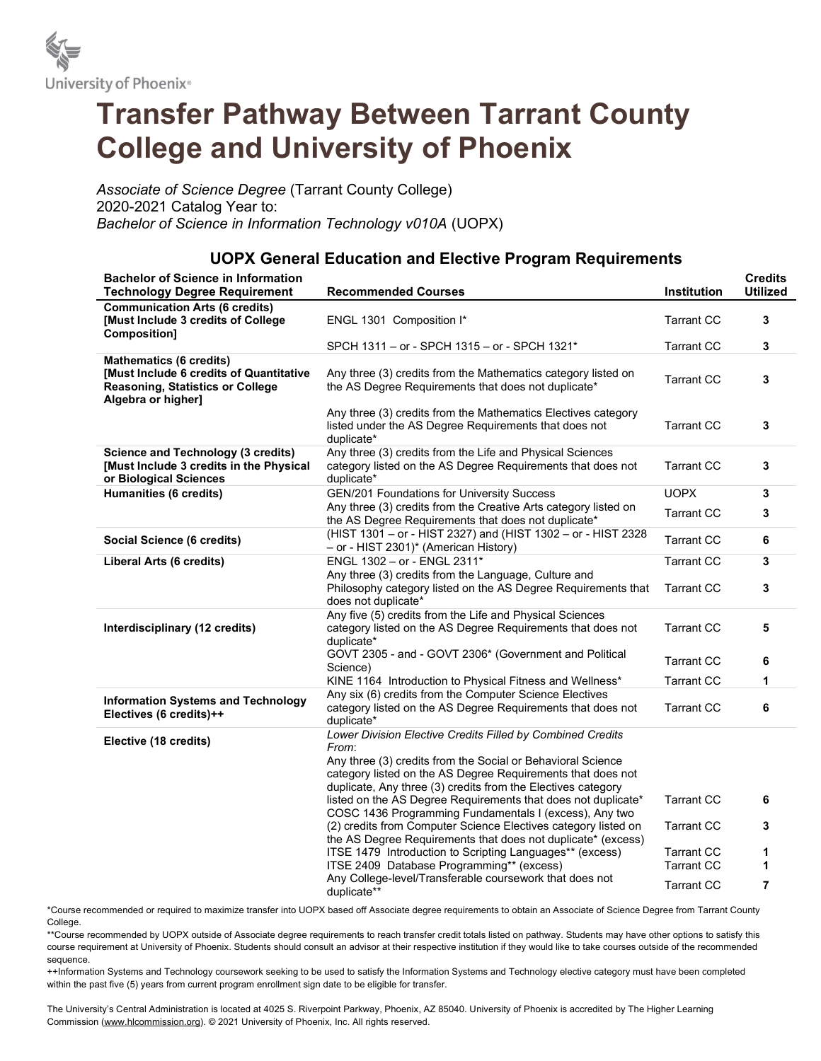

# Transfer Pathway Between Tarrant County College and University of Phoenix

Associate of Science Degree (Tarrant County College) 2020-2021 Catalog Year to: Bachelor of Science in Information Technology v010A (UOPX)

### UOPX General Education and Elective Program Requirements Bachelor of Science in Information Technology Degree Requirement Recommended Courses Institution **Credits** Utilized Communication Arts (6 credits) [Must Include 3 credits of College Composition] ENGL 1301 Composition I\* Tarrant CC 3 SPCH 1311 – or - SPCH 1315 – or - SPCH 1321\* Tarrant CC 3 Mathematics (6 credits) [Must Include 6 credits of Quantitative Reasoning, Statistics or College Algebra or higher] Any three (3) credits from the Mathematics category listed on Any three (3) credits from the Mathematics category listed on Tarrant CC 3<br>the AS Degree Requirements that does not duplicate\* Any three (3) credits from the Mathematics Electives category listed under the AS Degree Requirements that does not duplicate\* Tarrant CC 3 Science and Technology (3 credits) [Must Include 3 credits in the Physical or Biological Sciences Any three (3) credits from the Life and Physical Sciences category listed on the AS Degree Requirements that does not duplicate\* Tarrant CC 3 **Humanities (6 credits)** GEN/201 Foundations for University Success General COPX 3 Any three (3) credits from the Creative Arts category listed on Any three (3) credits from the Creative Arts category listed on Tarrant CC 3<br>the AS Degree Requirements that does not duplicate\* Social Science (6 credits) (HIST 1301 – or - HIST 2327) and (HIST 1302 – or - HIST 2328  $(-10 - 130)$  –  $0 - 1131$  2327) and  $(1131 - 302 - 9)$  - The F2320 Tarrant CC 6 Liberal Arts (6 credits) ENGL 1302 – or - ENGL 2311\* Tarrant CC 3 Any three (3) credits from the Language, Culture and Philosophy category listed on the AS Degree Requirements that does not duplicate\* Tarrant CC 3 Interdisciplinary (12 credits) Any five (5) credits from the Life and Physical Sciences category listed on the AS Degree Requirements that does not duplicate\* Tarrant CC 5 GOVT 2305 - and - GOVT 2306\* (Government and Political **6**<br>Science) KINE 1164 Introduction to Physical Fitness and Wellness\* Tarrant CC 1 Information Systems and Technology Electives (6 credits)++ Any six (6) credits from the Computer Science Electives category listed on the AS Degree Requirements that does not duplicate\* Tarrant CC 6 Elective (18 credits) Lower Division Elective Credits Filled by Combined Credits From: Any three (3) credits from the Social or Behavioral Science category listed on the AS Degree Requirements that does not duplicate, Any three (3) credits from the Electives category listed on the AS Degree Requirements that does not duplicate\* Tarrant CC 6 COSC 1436 Programming Fundamentals I (excess), Any two (2) credits from Computer Science Electives category listed on the AS Degree Requirements that does not duplicate\* (excess) Tarrant CC 3

\*Course recommended or required to maximize transfer into UOPX based off Associate degree requirements to obtain an Associate of Science Degree from Tarrant County College.

ITSE 1479 Introduction to Scripting Languages\*\* (excess) Tarrant CC 1 ITSE 2409 Database Programming\*\* (excess) Tarrant CC 1 Any College-level/Transferable coursework that does not duplicate\*\* Tarrant CC <sup>7</sup>

\*\*Course recommended by UOPX outside of Associate degree requirements to reach transfer credit totals listed on pathway. Students may have other options to satisfy this course requirement at University of Phoenix. Students should consult an advisor at their respective institution if they would like to take courses outside of the recommended sequence.

++Information Systems and Technology coursework seeking to be used to satisfy the Information Systems and Technology elective category must have been completed within the past five (5) years from current program enrollment sign date to be eligible for transfer.

The University's Central Administration is located at 4025 S. Riverpoint Parkway, Phoenix, AZ 85040. University of Phoenix is accredited by The Higher Learning Commission (www.hlcommission.org). © 2021 University of Phoenix, Inc. All rights reserved.